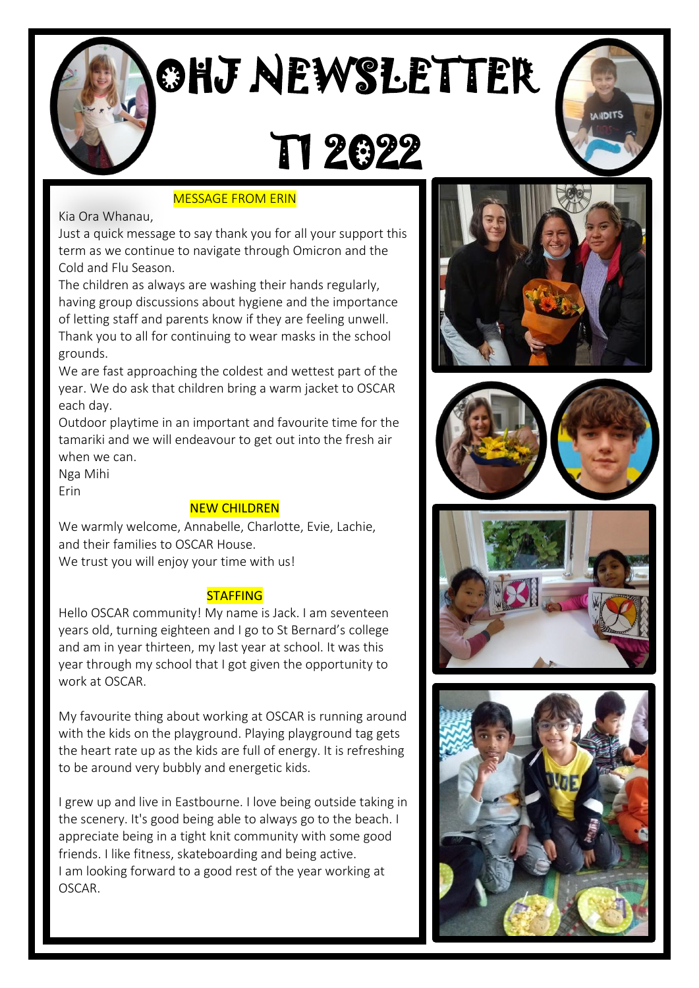

# OHJ NEWSLETTER

## T1 2022

## MESSAGE FROM ERIN

Kia Ora Whanau,

Just a quick message to say thank you for all your support this term as we continue to navigate through Omicron and the Cold and Flu Season.

The children as always are washing their hands regularly, having group discussions about hygiene and the importance of letting staff and parents know if they are feeling unwell. Thank you to all for continuing to wear masks in the school grounds.

We are fast approaching the coldest and wettest part of the year. We do ask that children bring a warm jacket to OSCAR each day.

Outdoor playtime in an important and favourite time for the tamariki and we will endeavour to get out into the fresh air when we can.

Nga Mihi Erin

## NEW CHILDREN

We warmly welcome, Annabelle, Charlotte, Evie, Lachie, and their families to OSCAR House.     We trust you will enjoy your time with us!

## **STAFFING**

Hello OSCAR community! My name is Jack. I am seventeen years old, turning eighteen and I go to St Bernard's college and am in year thirteen, my last year at school. It was this year through my school that I got given the opportunity to work at OSCAR.

My favourite thing about working at OSCAR is running around with the kids on the playground. Playing playground tag gets the heart rate up as the kids are full of energy. It is refreshing to be around very bubbly and energetic kids.  

I grew up and live in Eastbourne. I love being outside taking in the scenery. It's good being able to always go to the beach. I appreciate being in a tight knit community with some good friends. I like fitness, skateboarding and being active. I am looking forward to a good rest of the year working at OSCAR.









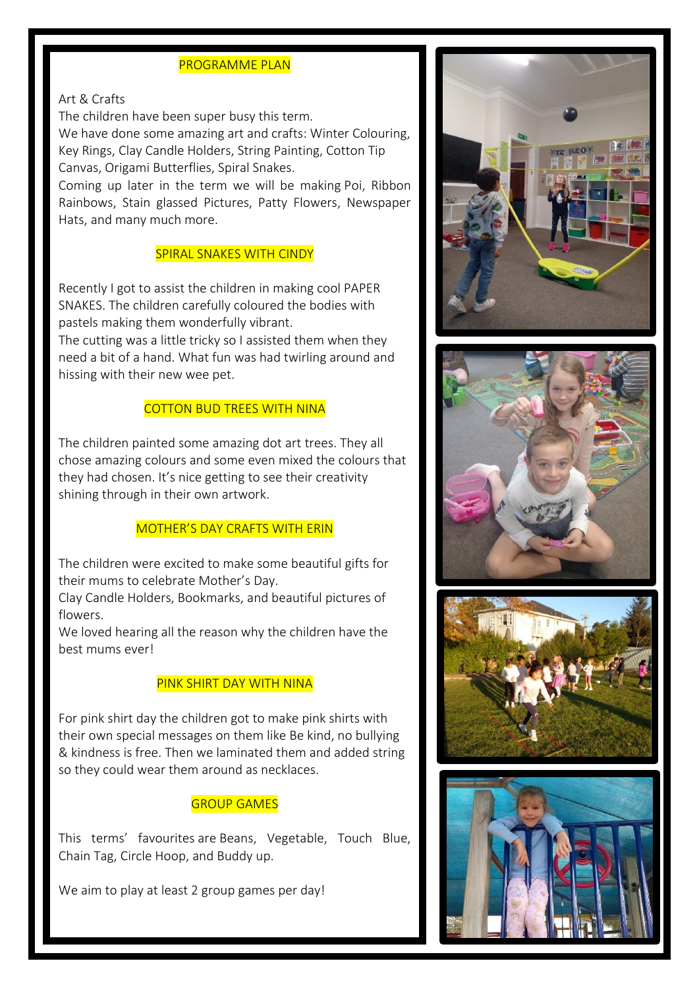#### PROGRAMME PLAN

#### Art & Crafts

The children have been super busy this term.  

We have done some amazing art and crafts: Winter Colouring, Key Rings, Clay Candle Holders, String Painting, Cotton Tip Canvas, Origami Butterflies, Spiral Snakes.

Coming up later in the term we will be making Poi, Ribbon Rainbows, Stain glassed Pictures, Patty Flowers, Newspaper Hats, and many much more.

#### SPIRAL SNAKES WITH CINDY

Recently I got to assist the children in making cool PAPER SNAKES. The children carefully coloured the bodies with pastels making them wonderfully vibrant. The cutting was a little tricky so I assisted them when they need a bit of a hand. What fun was had twirling around and hissing with their new wee pet.

#### COTTON BUD TREES WITH NINA

The children painted some amazing dot art trees. They all chose amazing colours and some even mixed the colours that they had chosen. It's nice getting to see their creativity shining through in their own artwork.

#### MOTHER'S DAY CRAFTS WITH ERIN

The children were excited to make some beautiful gifts for their mums to celebrate Mother's Day.

Clay Candle Holders, Bookmarks, and beautiful pictures of flowers.

We loved hearing all the reason why the children have the best mums ever!

#### PINK SHIRT DAY WITH NINA

For pink shirt day the children got to make pink shirts with their own special messages on them like Be kind, no bullying & kindness is free. Then we laminated them and added string so they could wear them around as necklaces.

#### GROUP GAMES

This terms' favourites are Beans, Vegetable, Touch Blue, Chain Tag, Circle Hoop, and Buddy up.

We aim to play at least 2 group games per day!  







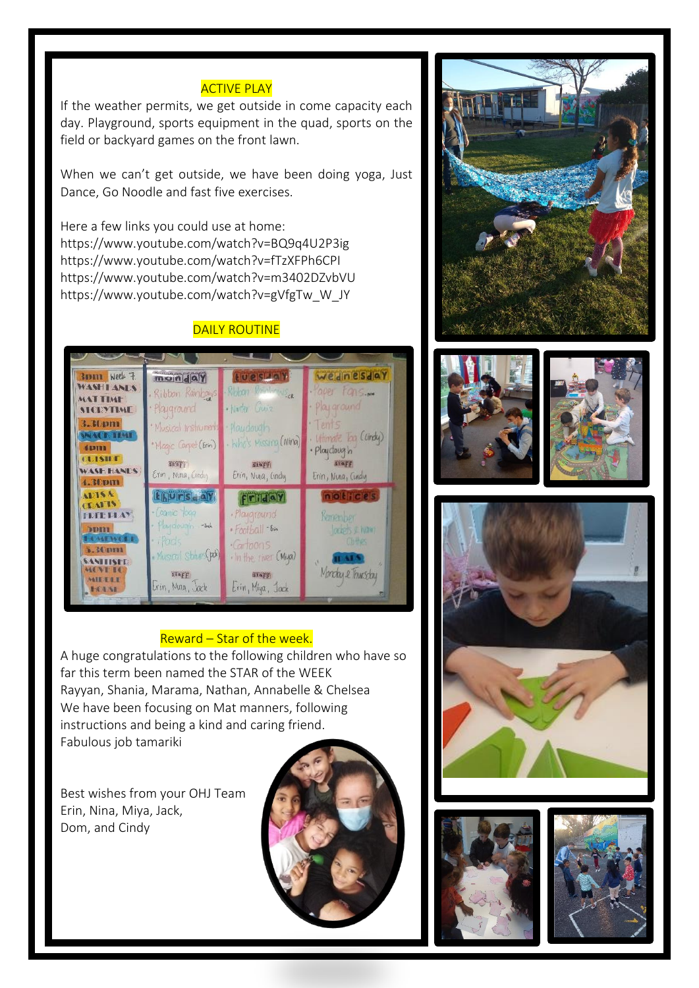### **ACTIVE PLAY**

If the weather permits, we get outside in come capacity each day. Playground, sports equipment in the quad, sports on the field or backyard games on the front lawn.

When we can't get outside, we have been doing yoga, Just Dance, Go Noodle and fast five exercises.

Here a few links you could use at home: <https://www.youtube.com/watch?v=BQ9q4U2P3ig> <https://www.youtube.com/watch?v=fTzXFPh6CPI> <https://www.youtube.com/watch?v=m3402DZvbVU> [https://www.youtube.com/watch?v=gVfgTw\\_W\\_JY](https://www.youtube.com/watch?v=gVfgTw_W_JY)

## **DAILY ROUTINE**



#### Reward – Star of the week.

A huge congratulations to the following children who have so far this term been named the STAR of the WEEK Rayyan, Shania, Marama, Nathan, Annabelle & Chelsea We have been focusing on Mat manners, following instructions and being a kind and caring friend. Fabulous job tamariki

Best wishes from your OHJ Team Erin, Nina, Miya, Jack, Dom, and Cindy